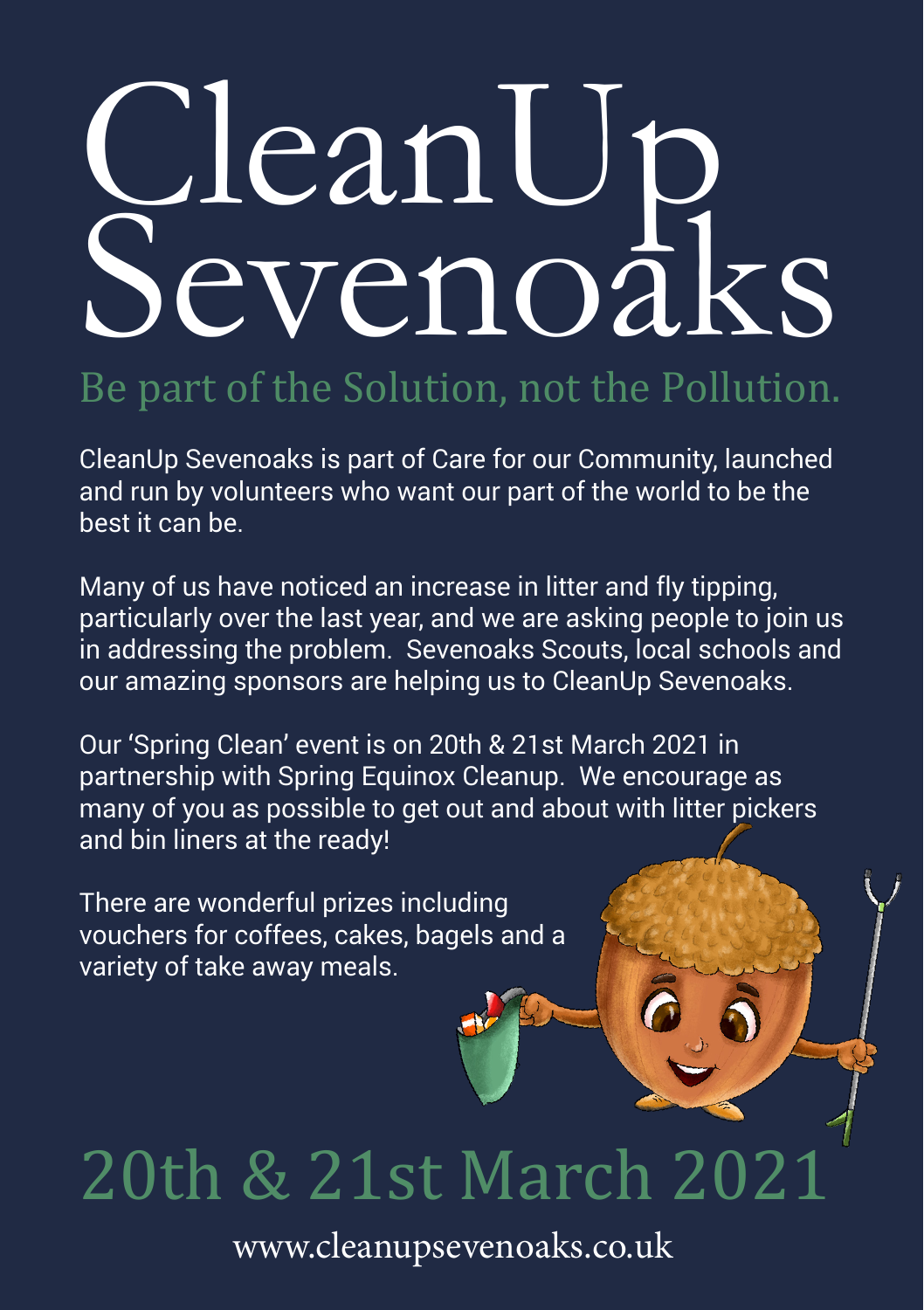# CleanUp Sevenoaks

### Be part of the Solution, not the Pollution.

CleanUp Sevenoaks is part of Care for our Community, launched and run by volunteers who want our part of the world to be the best it can be.

Many of us have noticed an increase in litter and fly tipping, particularly over the last year, and we are asking people to join us in addressing the problem. Sevenoaks Scouts, local schools and our amazing sponsors are helping us to CleanUp Sevenoaks.

Our 'Spring Clean' event is on 20th & 21st March 2021 in partnership with Spring Equinox Cleanup. We encourage as many of you as possible to get out and about with litter pickers and bin liners at the ready!

There are wonderful prizes including vouchers for coffees, cakes, bagels and a variety of take away meals.

## 20th & 21st March 2021

www.cleanupsevenoaks.co.uk